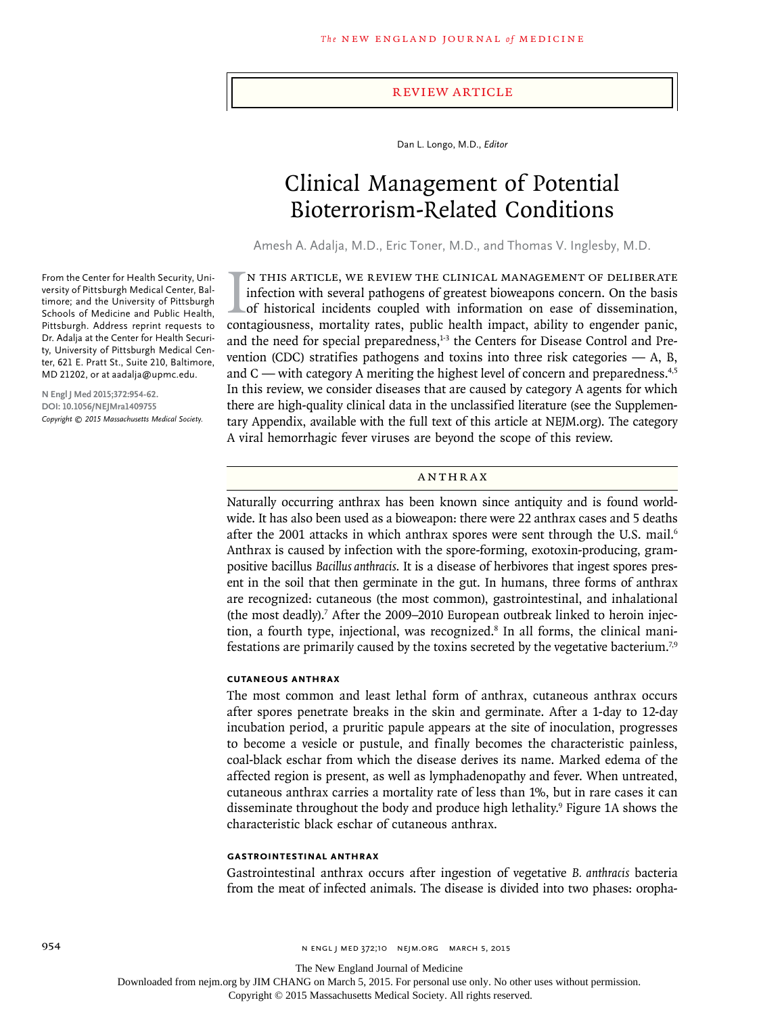### Review Article

Dan L. Longo, M.D., *Editor*

# Clinical Management of Potential Bioterrorism-Related Conditions

Amesh A. Adalja, M.D., Eric Toner, M.D., and Thomas V. Inglesby, M.D.

IN THIS ARTICLE, WE REVIEW THE CLINICAL MANAGEMENT OF DELIBERATE infection with several pathogens of greatest bioweapons concern. On the basis of historical incidents coupled with information on ease of dissemination, cont n this article, we review the clinical management of deliberate infection with several pathogens of greatest bioweapons concern. On the basis of historical incidents coupled with information on ease of dissemination, and the need for special preparedness, $1-3$  the Centers for Disease Control and Prevention (CDC) stratifies pathogens and toxins into three risk categories  $- A$ , B, and  $C$  — with category A meriting the highest level of concern and preparedness.<sup>4,5</sup> In this review, we consider diseases that are caused by category A agents for which there are high-quality clinical data in the unclassified literature (see the Supplementary Appendix, available with the full text of this article at NEJM.org). The category A viral hemorrhagic fever viruses are beyond the scope of this review.

### Anthrax

Naturally occurring anthrax has been known since antiquity and is found worldwide. It has also been used as a bioweapon: there were 22 anthrax cases and 5 deaths after the 2001 attacks in which anthrax spores were sent through the U.S. mail.<sup>6</sup> Anthrax is caused by infection with the spore-forming, exotoxin-producing, grampositive bacillus *Bacillus anthracis*. It is a disease of herbivores that ingest spores present in the soil that then germinate in the gut. In humans, three forms of anthrax are recognized: cutaneous (the most common), gastrointestinal, and inhalational (the most deadly).<sup>7</sup> After the 2009–2010 European outbreak linked to heroin injection, a fourth type, injectional, was recognized.<sup>8</sup> In all forms, the clinical manifestations are primarily caused by the toxins secreted by the vegetative bacterium.7,9

#### **Cutaneous Anthrax**

The most common and least lethal form of anthrax, cutaneous anthrax occurs after spores penetrate breaks in the skin and germinate. After a 1-day to 12-day incubation period, a pruritic papule appears at the site of inoculation, progresses to become a vesicle or pustule, and finally becomes the characteristic painless, coal-black eschar from which the disease derives its name. Marked edema of the affected region is present, as well as lymphadenopathy and fever. When untreated, cutaneous anthrax carries a mortality rate of less than 1%, but in rare cases it can disseminate throughout the body and produce high lethality.9 Figure 1A shows the characteristic black eschar of cutaneous anthrax.

### **Gastrointestinal Anthrax**

Gastrointestinal anthrax occurs after ingestion of vegetative *B. anthracis* bacteria from the meat of infected animals. The disease is divided into two phases: oropha-

From the Center for Health Security, University of Pittsburgh Medical Center, Baltimore; and the University of Pittsburgh Schools of Medicine and Public Health, Pittsburgh. Address reprint requests to Dr. Adalja at the Center for Health Security, University of Pittsburgh Medical Center, 621 E. Pratt St., Suite 210, Baltimore, MD 21202, or at aadalja@upmc.edu.

**N Engl J Med 2015;372:954-62. DOI: 10.1056/NEJMra1409755** *Copyright © 2015 Massachusetts Medical Society.*

The New England Journal of Medicine

Downloaded from nejm.org by JIM CHANG on March 5, 2015. For personal use only. No other uses without permission.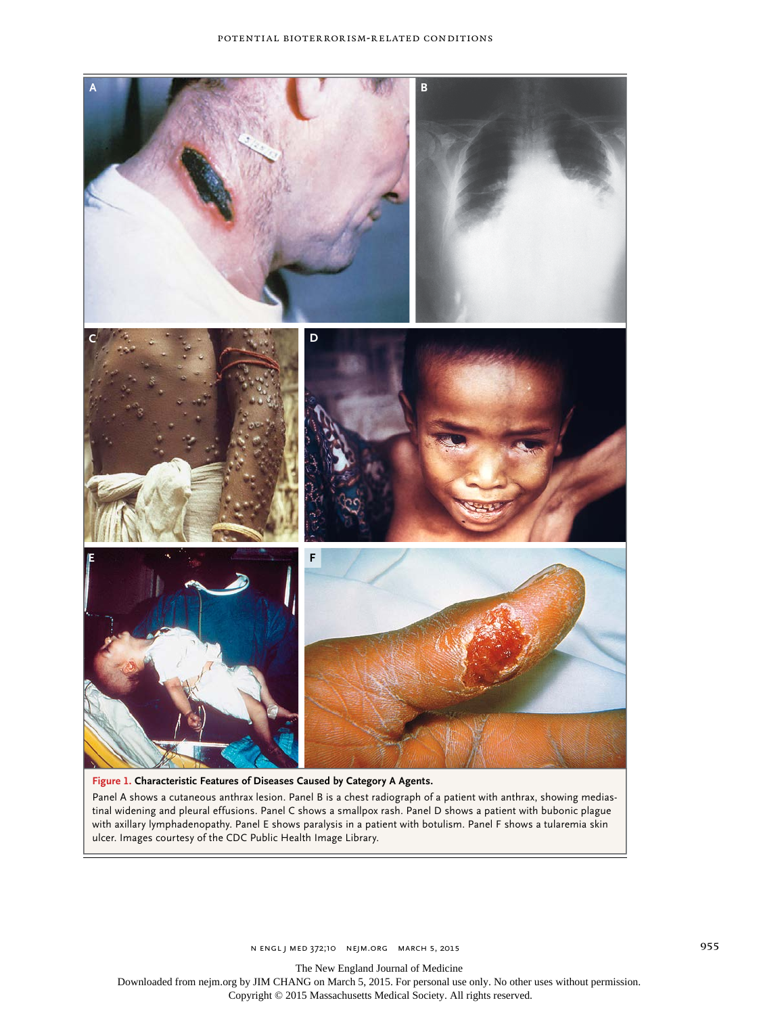

## **Figure 1. Characteristic Features of Diseases Caused by Category A Agents.**

Panel A shows a cutaneous anthrax lesion. Panel B is a chest radiograph of a patient with anthrax, showing mediastinal widening and pleural effusions. Panel C shows a smallpox rash. Panel D shows a patient with bubonic plague with axillary lymphadenopathy. Panel E shows paralysis in a patient with botulism. Panel F shows a tularemia skin ulcer. Images courtesy of the CDC Public Health Image Library.

n engl j med 372;10 nejm.org March 5, 2015 955

The New England Journal of Medicine

Downloaded from nejm.org by JIM CHANG on March 5, 2015. For personal use only. No other uses without permission. Copyright © 2015 Massachusetts Medical Society. All rights reserved.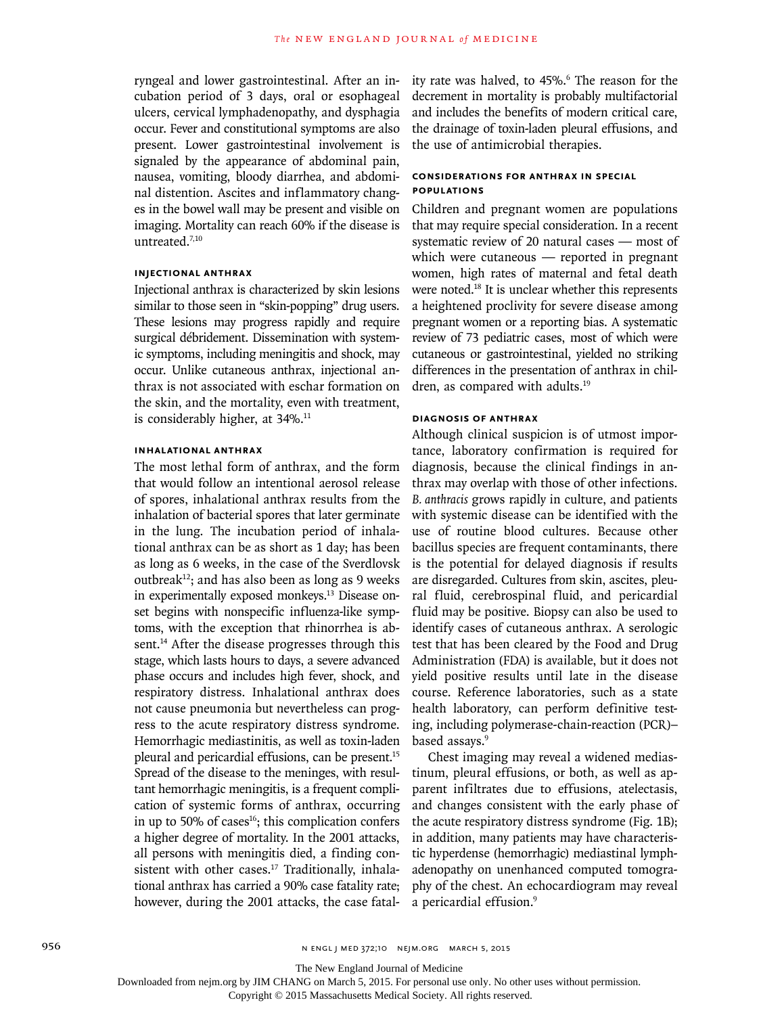ryngeal and lower gastrointestinal. After an incubation period of 3 days, oral or esophageal ulcers, cervical lymphadenopathy, and dysphagia occur. Fever and constitutional symptoms are also present. Lower gastrointestinal involvement is signaled by the appearance of abdominal pain, nausea, vomiting, bloody diarrhea, and abdominal distention. Ascites and inflammatory changes in the bowel wall may be present and visible on imaging. Mortality can reach 60% if the disease is untreated.7,10

# **Injectional Anthrax**

Injectional anthrax is characterized by skin lesions similar to those seen in "skin-popping" drug users. These lesions may progress rapidly and require surgical débridement. Dissemination with systemic symptoms, including meningitis and shock, may occur. Unlike cutaneous anthrax, injectional anthrax is not associated with eschar formation on the skin, and the mortality, even with treatment, is considerably higher, at 34%.<sup>11</sup>

# **Inhalational Anthrax**

The most lethal form of anthrax, and the form that would follow an intentional aerosol release of spores, inhalational anthrax results from the inhalation of bacterial spores that later germinate in the lung. The incubation period of inhalational anthrax can be as short as 1 day; has been as long as 6 weeks, in the case of the Sverdlovsk outbreak<sup>12</sup>; and has also been as long as 9 weeks in experimentally exposed monkeys.13 Disease onset begins with nonspecific influenza-like symptoms, with the exception that rhinorrhea is absent.<sup>14</sup> After the disease progresses through this stage, which lasts hours to days, a severe advanced phase occurs and includes high fever, shock, and respiratory distress. Inhalational anthrax does not cause pneumonia but nevertheless can progress to the acute respiratory distress syndrome. Hemorrhagic mediastinitis, as well as toxin-laden pleural and pericardial effusions, can be present.<sup>15</sup> Spread of the disease to the meninges, with resultant hemorrhagic meningitis, is a frequent complication of systemic forms of anthrax, occurring in up to 50% of cases $16$ ; this complication confers a higher degree of mortality. In the 2001 attacks, all persons with meningitis died, a finding consistent with other cases.<sup>17</sup> Traditionally, inhalational anthrax has carried a 90% case fatality rate; however, during the 2001 attacks, the case fatal-

ity rate was halved, to 45%.6 The reason for the decrement in mortality is probably multifactorial and includes the benefits of modern critical care, the drainage of toxin-laden pleural effusions, and the use of antimicrobial therapies.

# **Considerations for Anthrax in Special Populations**

Children and pregnant women are populations that may require special consideration. In a recent systematic review of 20 natural cases — most of which were cutaneous — reported in pregnant women, high rates of maternal and fetal death were noted.<sup>18</sup> It is unclear whether this represents a heightened proclivity for severe disease among pregnant women or a reporting bias. A systematic review of 73 pediatric cases, most of which were cutaneous or gastrointestinal, yielded no striking differences in the presentation of anthrax in children, as compared with adults.<sup>19</sup>

# **Diagnosis of Anthrax**

Although clinical suspicion is of utmost importance, laboratory confirmation is required for diagnosis, because the clinical findings in anthrax may overlap with those of other infections. *B. anthracis* grows rapidly in culture, and patients with systemic disease can be identified with the use of routine blood cultures. Because other bacillus species are frequent contaminants, there is the potential for delayed diagnosis if results are disregarded. Cultures from skin, ascites, pleural fluid, cerebrospinal fluid, and pericardial fluid may be positive. Biopsy can also be used to identify cases of cutaneous anthrax. A serologic test that has been cleared by the Food and Drug Administration (FDA) is available, but it does not yield positive results until late in the disease course. Reference laboratories, such as a state health laboratory, can perform definitive testing, including polymerase-chain-reaction (PCR)– based assays.<sup>9</sup>

Chest imaging may reveal a widened mediastinum, pleural effusions, or both, as well as apparent infiltrates due to effusions, atelectasis, and changes consistent with the early phase of the acute respiratory distress syndrome (Fig. 1B); in addition, many patients may have characteristic hyperdense (hemorrhagic) mediastinal lymphadenopathy on unenhanced computed tomography of the chest. An echocardiogram may reveal a pericardial effusion.9

The New England Journal of Medicine

Downloaded from nejm.org by JIM CHANG on March 5, 2015. For personal use only. No other uses without permission.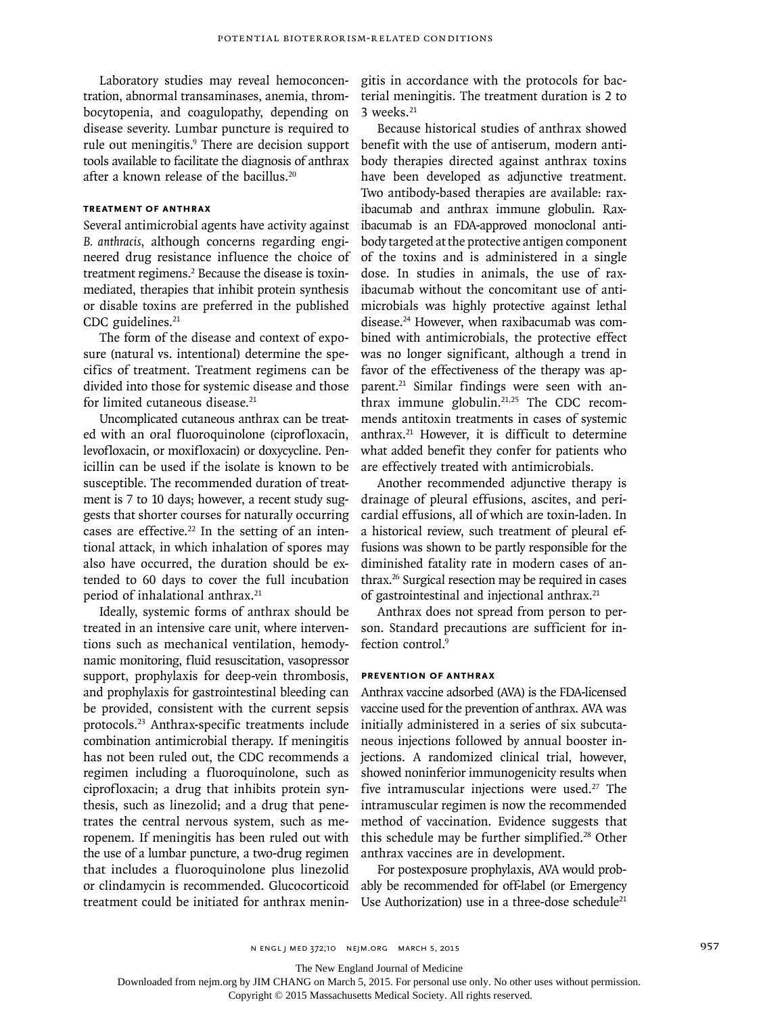Laboratory studies may reveal hemoconcentration, abnormal transaminases, anemia, thrombocytopenia, and coagulopathy, depending on disease severity. Lumbar puncture is required to rule out meningitis.<sup>9</sup> There are decision support tools available to facilitate the diagnosis of anthrax after a known release of the bacillus.20

# **Treatment of Anthrax**

Several antimicrobial agents have activity against *B. anthracis*, although concerns regarding engineered drug resistance influence the choice of treatment regimens.<sup>2</sup> Because the disease is toxinmediated, therapies that inhibit protein synthesis or disable toxins are preferred in the published CDC guidelines.<sup>21</sup>

The form of the disease and context of exposure (natural vs. intentional) determine the specifics of treatment. Treatment regimens can be divided into those for systemic disease and those for limited cutaneous disease.<sup>21</sup>

Uncomplicated cutaneous anthrax can be treated with an oral fluoroquinolone (ciprofloxacin, levofloxacin, or moxifloxacin) or doxycycline. Penicillin can be used if the isolate is known to be susceptible. The recommended duration of treatment is 7 to 10 days; however, a recent study suggests that shorter courses for naturally occurring cases are effective.<sup>22</sup> In the setting of an intentional attack, in which inhalation of spores may also have occurred, the duration should be extended to 60 days to cover the full incubation period of inhalational anthrax.<sup>21</sup>

Ideally, systemic forms of anthrax should be treated in an intensive care unit, where interventions such as mechanical ventilation, hemodynamic monitoring, fluid resuscitation, vasopressor support, prophylaxis for deep-vein thrombosis, and prophylaxis for gastrointestinal bleeding can be provided, consistent with the current sepsis protocols.23 Anthrax-specific treatments include combination antimicrobial therapy. If meningitis has not been ruled out, the CDC recommends a regimen including a fluoroquinolone, such as ciprofloxacin; a drug that inhibits protein synthesis, such as linezolid; and a drug that penetrates the central nervous system, such as meropenem. If meningitis has been ruled out with the use of a lumbar puncture, a two-drug regimen that includes a fluoroquinolone plus linezolid or clindamycin is recommended. Glucocorticoid treatment could be initiated for anthrax meningitis in accordance with the protocols for bacterial meningitis. The treatment duration is 2 to  $3$  weeks. $21$ 

Because historical studies of anthrax showed benefit with the use of antiserum, modern antibody therapies directed against anthrax toxins have been developed as adjunctive treatment. Two antibody-based therapies are available: raxibacumab and anthrax immune globulin. Raxibacumab is an FDA-approved monoclonal antibody targeted at the protective antigen component of the toxins and is administered in a single dose. In studies in animals, the use of raxibacumab without the concomitant use of antimicrobials was highly protective against lethal disease.24 However, when raxibacumab was combined with antimicrobials, the protective effect was no longer significant, although a trend in favor of the effectiveness of the therapy was apparent.<sup>21</sup> Similar findings were seen with anthrax immune globulin. $21,25$  The CDC recommends antitoxin treatments in cases of systemic anthrax.21 However, it is difficult to determine what added benefit they confer for patients who are effectively treated with antimicrobials.

Another recommended adjunctive therapy is drainage of pleural effusions, ascites, and pericardial effusions, all of which are toxin-laden. In a historical review, such treatment of pleural effusions was shown to be partly responsible for the diminished fatality rate in modern cases of anthrax.26 Surgical resection may be required in cases of gastrointestinal and injectional anthrax.<sup>21</sup>

Anthrax does not spread from person to person. Standard precautions are sufficient for infection control.<sup>9</sup>

### **Prevention of Anthrax**

Anthrax vaccine adsorbed (AVA) is the FDA-licensed vaccine used for the prevention of anthrax. AVA was initially administered in a series of six subcutaneous injections followed by annual booster injections. A randomized clinical trial, however, showed noninferior immunogenicity results when five intramuscular injections were used.<sup>27</sup> The intramuscular regimen is now the recommended method of vaccination. Evidence suggests that this schedule may be further simplified.<sup>28</sup> Other anthrax vaccines are in development.

For postexposure prophylaxis, AVA would probably be recommended for off-label (or Emergency Use Authorization) use in a three-dose schedule<sup>21</sup>

The New England Journal of Medicine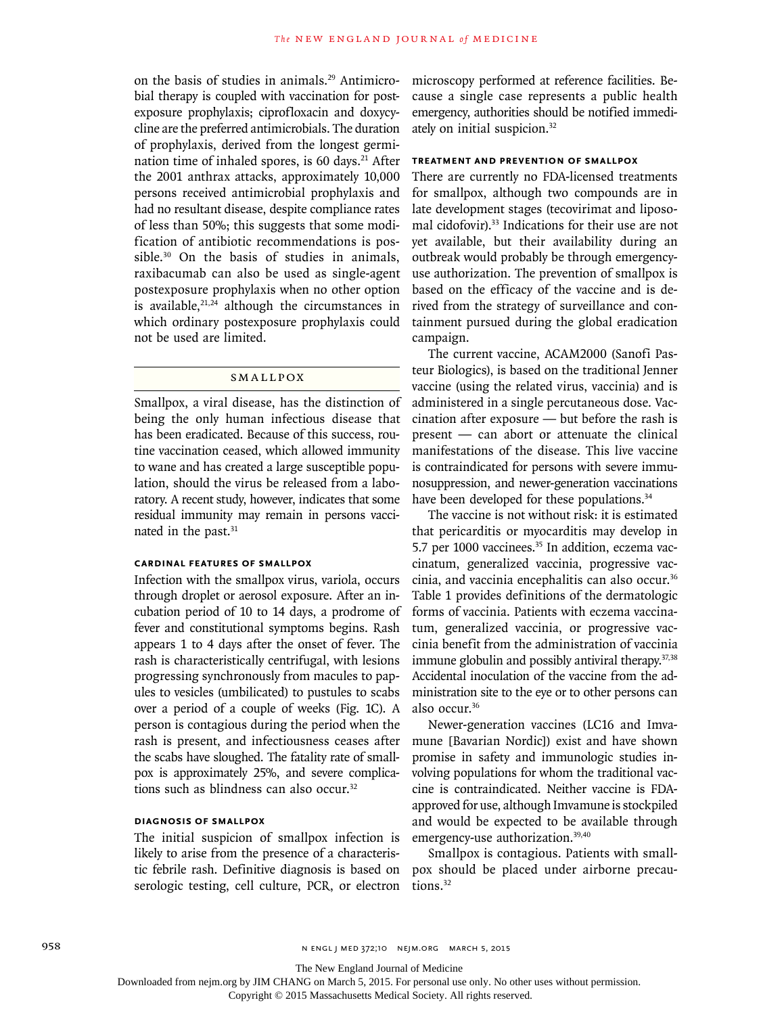on the basis of studies in animals.29 Antimicrobial therapy is coupled with vaccination for postexposure prophylaxis; ciprofloxacin and doxycycline are the preferred antimicrobials. The duration of prophylaxis, derived from the longest germination time of inhaled spores, is 60 days.<sup>21</sup> After the 2001 anthrax attacks, approximately 10,000 persons received antimicrobial prophylaxis and had no resultant disease, despite compliance rates of less than 50%; this suggests that some modification of antibiotic recommendations is possible.<sup>30</sup> On the basis of studies in animals, raxibacumab can also be used as single-agent postexposure prophylaxis when no other option is available, $2^{1,24}$  although the circumstances in which ordinary postexposure prophylaxis could not be used are limited.

### **SMALLPOX**

Smallpox, a viral disease, has the distinction of being the only human infectious disease that has been eradicated. Because of this success, routine vaccination ceased, which allowed immunity to wane and has created a large susceptible population, should the virus be released from a laboratory. A recent study, however, indicates that some residual immunity may remain in persons vaccinated in the past.<sup>31</sup>

# **Cardinal Features of Smallpox**

Infection with the smallpox virus, variola, occurs through droplet or aerosol exposure. After an incubation period of 10 to 14 days, a prodrome of fever and constitutional symptoms begins. Rash appears 1 to 4 days after the onset of fever. The rash is characteristically centrifugal, with lesions progressing synchronously from macules to papules to vesicles (umbilicated) to pustules to scabs over a period of a couple of weeks (Fig. 1C). A person is contagious during the period when the rash is present, and infectiousness ceases after the scabs have sloughed. The fatality rate of smallpox is approximately 25%, and severe complications such as blindness can also occur.32

### **Diagnosis of Smallpox**

The initial suspicion of smallpox infection is likely to arise from the presence of a characteristic febrile rash. Definitive diagnosis is based on serologic testing, cell culture, PCR, or electron microscopy performed at reference facilities. Because a single case represents a public health emergency, authorities should be notified immediately on initial suspicion.32

# **Treatment and Prevention of Smallpox**

There are currently no FDA-licensed treatments for smallpox, although two compounds are in late development stages (tecovirimat and liposomal cidofovir).<sup>33</sup> Indications for their use are not yet available, but their availability during an outbreak would probably be through emergencyuse authorization. The prevention of smallpox is based on the efficacy of the vaccine and is derived from the strategy of surveillance and containment pursued during the global eradication campaign.

The current vaccine, ACAM2000 (Sanofi Pasteur Biologics), is based on the traditional Jenner vaccine (using the related virus, vaccinia) and is administered in a single percutaneous dose. Vaccination after exposure — but before the rash is present — can abort or attenuate the clinical manifestations of the disease. This live vaccine is contraindicated for persons with severe immunosuppression, and newer-generation vaccinations have been developed for these populations.<sup>34</sup>

The vaccine is not without risk: it is estimated that pericarditis or myocarditis may develop in 5.7 per 1000 vaccinees.<sup>35</sup> In addition, eczema vaccinatum, generalized vaccinia, progressive vaccinia, and vaccinia encephalitis can also occur.<sup>36</sup> Table 1 provides definitions of the dermatologic forms of vaccinia. Patients with eczema vaccinatum, generalized vaccinia, or progressive vaccinia benefit from the administration of vaccinia immune globulin and possibly antiviral therapy.<sup>37,38</sup> Accidental inoculation of the vaccine from the administration site to the eye or to other persons can also occur.36

Newer-generation vaccines (LC16 and Imvamune [Bavarian Nordic]) exist and have shown promise in safety and immunologic studies involving populations for whom the traditional vaccine is contraindicated. Neither vaccine is FDAapproved for use, although Imvamune is stockpiled and would be expected to be available through emergency-use authorization.39,40

Smallpox is contagious. Patients with smallpox should be placed under airborne precautions.<sup>32</sup>

The New England Journal of Medicine

Downloaded from nejm.org by JIM CHANG on March 5, 2015. For personal use only. No other uses without permission.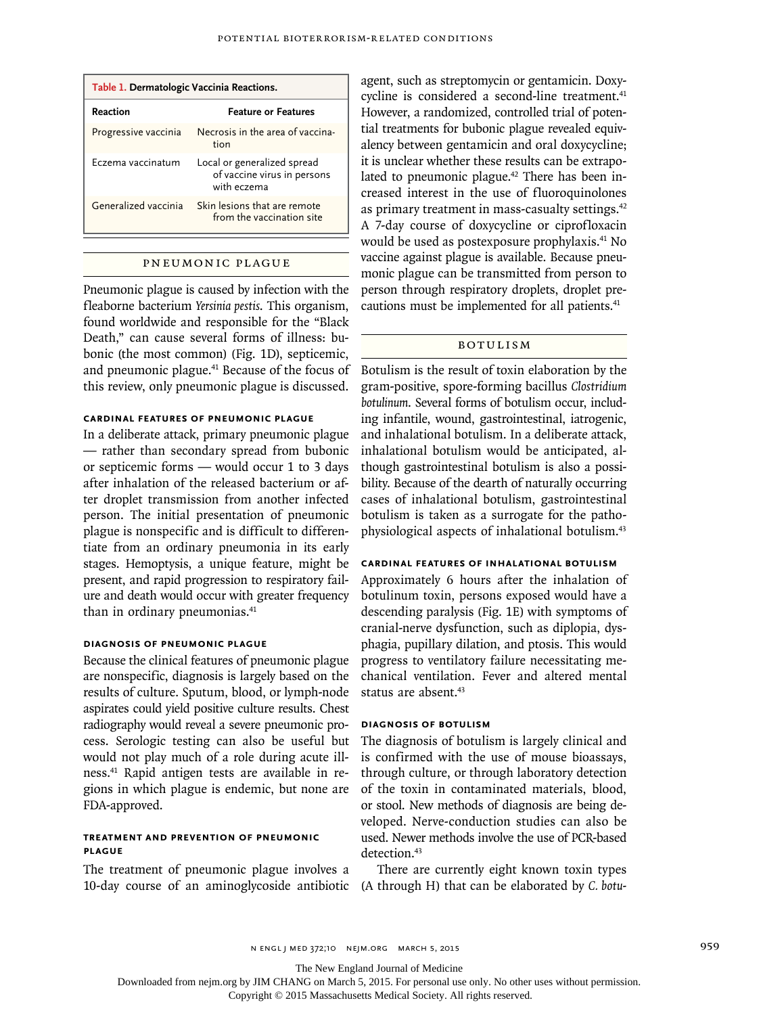| Table 1. Dermatologic Vaccinia Reactions. |                                                                           |  |  |  |
|-------------------------------------------|---------------------------------------------------------------------------|--|--|--|
| Reaction                                  | <b>Feature or Features</b>                                                |  |  |  |
| Progressive vaccinia                      | Necrosis in the area of vaccina-<br>tion                                  |  |  |  |
| Eczema vaccinatum                         | Local or generalized spread<br>of vaccine virus in persons<br>with eczema |  |  |  |
| Generalized vaccinia                      | Skin lesions that are remote<br>from the vaccination site                 |  |  |  |

#### Pneumonic Plague

Pneumonic plague is caused by infection with the fleaborne bacterium *Yersinia pestis*. This organism, found worldwide and responsible for the "Black Death," can cause several forms of illness: bubonic (the most common) (Fig. 1D), septicemic, and pneumonic plague.41 Because of the focus of this review, only pneumonic plague is discussed.

# **Cardinal Features of Pneumonic Plague**

In a deliberate attack, primary pneumonic plague — rather than secondary spread from bubonic or septicemic forms — would occur 1 to 3 days after inhalation of the released bacterium or after droplet transmission from another infected person. The initial presentation of pneumonic plague is nonspecific and is difficult to differentiate from an ordinary pneumonia in its early stages. Hemoptysis, a unique feature, might be present, and rapid progression to respiratory failure and death would occur with greater frequency than in ordinary pneumonias.<sup>41</sup>

# **Diagnosis of Pneumonic Plague**

Because the clinical features of pneumonic plague are nonspecific, diagnosis is largely based on the results of culture. Sputum, blood, or lymph-node aspirates could yield positive culture results. Chest radiography would reveal a severe pneumonic process. Serologic testing can also be useful but would not play much of a role during acute illness.41 Rapid antigen tests are available in regions in which plague is endemic, but none are FDA-approved.

# **Treatment and Prevention of Pneumonic Plague**

The treatment of pneumonic plague involves a 10-day course of an aminoglycoside antibiotic (A through H) that can be elaborated by *C. botu-*

agent, such as streptomycin or gentamicin. Doxycycline is considered a second-line treatment.<sup>41</sup> However, a randomized, controlled trial of potential treatments for bubonic plague revealed equivalency between gentamicin and oral doxycycline; it is unclear whether these results can be extrapolated to pneumonic plague.<sup>42</sup> There has been increased interest in the use of fluoroquinolones as primary treatment in mass-casualty settings.<sup>42</sup> A 7-day course of doxycycline or ciprofloxacin would be used as postexposure prophylaxis.41 No vaccine against plague is available. Because pneumonic plague can be transmitted from person to person through respiratory droplets, droplet precautions must be implemented for all patients.<sup>41</sup>

# Botulism

Botulism is the result of toxin elaboration by the gram-positive, spore-forming bacillus *Clostridium botulinum*. Several forms of botulism occur, including infantile, wound, gastrointestinal, iatrogenic, and inhalational botulism. In a deliberate attack, inhalational botulism would be anticipated, although gastrointestinal botulism is also a possibility. Because of the dearth of naturally occurring cases of inhalational botulism, gastrointestinal botulism is taken as a surrogate for the pathophysiological aspects of inhalational botulism.43

# **Cardinal Features of Inhalational Botulism**

Approximately 6 hours after the inhalation of botulinum toxin, persons exposed would have a descending paralysis (Fig. 1E) with symptoms of cranial-nerve dysfunction, such as diplopia, dysphagia, pupillary dilation, and ptosis. This would progress to ventilatory failure necessitating mechanical ventilation. Fever and altered mental status are absent.<sup>43</sup>

## **Diagnosis of Botulism**

The diagnosis of botulism is largely clinical and is confirmed with the use of mouse bioassays, through culture, or through laboratory detection of the toxin in contaminated materials, blood, or stool. New methods of diagnosis are being developed. Nerve-conduction studies can also be used. Newer methods involve the use of PCR-based detection.<sup>43</sup>

There are currently eight known toxin types

n engl j med 372;10 nejm.org March 5, 2015 959

The New England Journal of Medicine

Downloaded from nejm.org by JIM CHANG on March 5, 2015. For personal use only. No other uses without permission.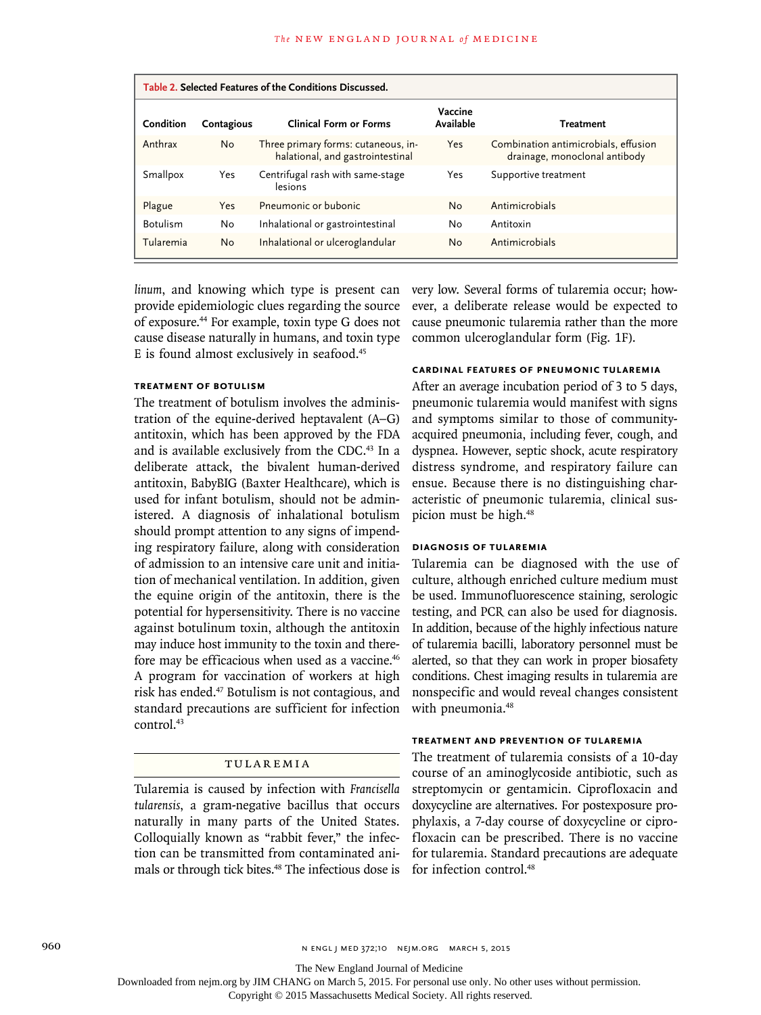| Table 2. Selected Features of the Conditions Discussed. |            |                                                                         |                      |                                                                       |  |
|---------------------------------------------------------|------------|-------------------------------------------------------------------------|----------------------|-----------------------------------------------------------------------|--|
| Condition                                               | Contagious | <b>Clinical Form or Forms</b>                                           | Vaccine<br>Available | <b>Treatment</b>                                                      |  |
| Anthrax                                                 | <b>No</b>  | Three primary forms: cutaneous, in-<br>halational, and gastrointestinal | Yes                  | Combination antimicrobials, effusion<br>drainage, monoclonal antibody |  |
| Smallpox                                                | Yes        | Centrifugal rash with same-stage<br>lesions                             | Yes                  | Supportive treatment                                                  |  |
| Plague                                                  | Yes        | Pneumonic or bubonic                                                    | No                   | Antimicrobials                                                        |  |
| <b>Botulism</b>                                         | No         | Inhalational or gastrointestinal                                        | No                   | Antitoxin                                                             |  |
| Tularemia                                               | <b>No</b>  | Inhalational or ulceroglandular                                         | No                   | Antimicrobials                                                        |  |

linum, and knowing which type is present can very low. Several forms of tularemia occur; howprovide epidemiologic clues regarding the source of exposure.44 For example, toxin type G does not cause disease naturally in humans, and toxin type E is found almost exclusively in seafood.<sup>45</sup>

## **Treatment of Botulism**

The treatment of botulism involves the administration of the equine-derived heptavalent (A–G) antitoxin, which has been approved by the FDA and is available exclusively from the CDC.<sup>43</sup> In a deliberate attack, the bivalent human-derived antitoxin, BabyBIG (Baxter Healthcare), which is used for infant botulism, should not be administered. A diagnosis of inhalational botulism should prompt attention to any signs of impending respiratory failure, along with consideration of admission to an intensive care unit and initiation of mechanical ventilation. In addition, given the equine origin of the antitoxin, there is the potential for hypersensitivity. There is no vaccine against botulinum toxin, although the antitoxin may induce host immunity to the toxin and therefore may be efficacious when used as a vaccine.<sup>46</sup> A program for vaccination of workers at high risk has ended.47 Botulism is not contagious, and standard precautions are sufficient for infection control.<sup>43</sup>

### Tularemia

Tularemia is caused by infection with *Francisella tularensis*, a gram-negative bacillus that occurs naturally in many parts of the United States. Colloquially known as "rabbit fever," the infection can be transmitted from contaminated animals or through tick bites.<sup>48</sup> The infectious dose is

ever, a deliberate release would be expected to cause pneumonic tularemia rather than the more common ulceroglandular form (Fig. 1F).

# **Cardinal Features of Pneumonic Tularemia**

After an average incubation period of 3 to 5 days, pneumonic tularemia would manifest with signs and symptoms similar to those of communityacquired pneumonia, including fever, cough, and dyspnea. However, septic shock, acute respiratory distress syndrome, and respiratory failure can ensue. Because there is no distinguishing characteristic of pneumonic tularemia, clinical suspicion must be high.<sup>48</sup>

### **Diagnosis of Tularemia**

Tularemia can be diagnosed with the use of culture, although enriched culture medium must be used. Immunofluorescence staining, serologic testing, and PCR can also be used for diagnosis. In addition, because of the highly infectious nature of tularemia bacilli, laboratory personnel must be alerted, so that they can work in proper biosafety conditions. Chest imaging results in tularemia are nonspecific and would reveal changes consistent with pneumonia.<sup>48</sup>

### **Treatment and Prevention of Tularemia**

The treatment of tularemia consists of a 10-day course of an aminoglycoside antibiotic, such as streptomycin or gentamicin. Ciprofloxacin and doxycycline are alternatives. For postexposure prophylaxis, a 7-day course of doxycycline or ciprofloxacin can be prescribed. There is no vaccine for tularemia. Standard precautions are adequate for infection control.<sup>48</sup>

960 **n ENGL j MED 372;10 NEJM.ORG MARCH 5, 2015** 

The New England Journal of Medicine

Downloaded from nejm.org by JIM CHANG on March 5, 2015. For personal use only. No other uses without permission.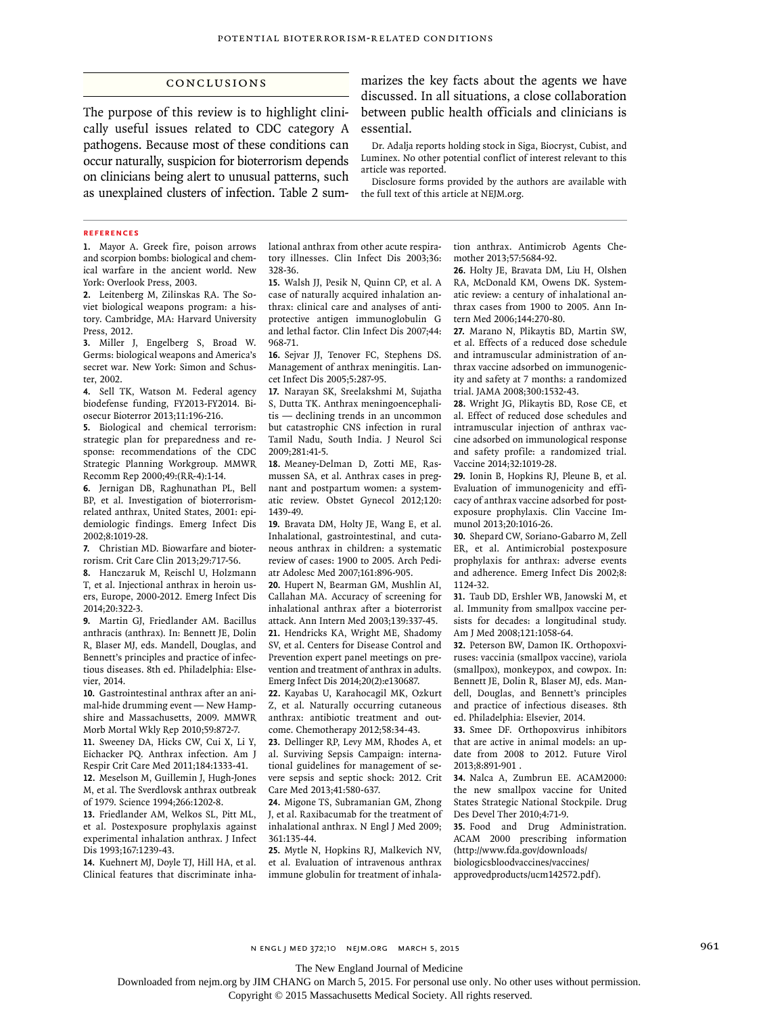## Conclusions

The purpose of this review is to highlight clinically useful issues related to CDC category A pathogens. Because most of these conditions can occur naturally, suspicion for bioterrorism depends on clinicians being alert to unusual patterns, such as unexplained clusters of infection. Table 2 summarizes the key facts about the agents we have discussed. In all situations, a close collaboration between public health officials and clinicians is essential.

Dr. Adalja reports holding stock in Siga, Biocryst, Cubist, and Luminex. No other potential conflict of interest relevant to this article was reported.

Disclosure forms provided by the authors are available with the full text of this article at NEJM.org.

#### **References**

**1.** Mayor A. Greek fire, poison arrows and scorpion bombs: biological and chemical warfare in the ancient world. New York: Overlook Press, 2003.

**2.** Leitenberg M, Zilinskas RA. The Soviet biological weapons program: a history. Cambridge, MA: Harvard University Press, 2012.

**3.** Miller J, Engelberg S, Broad W. Germs: biological weapons and America's secret war. New York: Simon and Schuster, 2002.

**4.** Sell TK, Watson M. Federal agency biodefense funding, FY2013-FY2014. Biosecur Bioterror 2013;11:196-216.

**5.** Biological and chemical terrorism: strategic plan for preparedness and response: recommendations of the CDC Strategic Planning Workgroup. MMWR Recomm Rep 2000;49:(RR-4):1-14.

**6.** Jernigan DB, Raghunathan PL, Bell BP, et al. Investigation of bioterrorismrelated anthrax, United States, 2001: epidemiologic findings. Emerg Infect Dis 2002;8:1019-28.

**7.** Christian MD. Biowarfare and bioterrorism. Crit Care Clin 2013;29:717-56.

**8.** Hanczaruk M, Reischl U, Holzmann T, et al. Injectional anthrax in heroin users, Europe, 2000-2012. Emerg Infect Dis 2014;20:322-3.

**9.** Martin GJ, Friedlander AM. Bacillus anthracis (anthrax). In: Bennett JE, Dolin R, Blaser MJ, eds. Mandell, Douglas, and Bennett's principles and practice of infectious diseases. 8th ed. Philadelphia: Elsevier, 2014.

**10.** Gastrointestinal anthrax after an animal-hide drumming event — New Hampshire and Massachusetts, 2009. MMWR Morb Mortal Wkly Rep 2010;59:872-7.

**11.** Sweeney DA, Hicks CW, Cui X, Li Y, Eichacker PQ. Anthrax infection. Am J Respir Crit Care Med 2011;184:1333-41. **12.** Meselson M, Guillemin J, Hugh-Jones M, et al. The Sverdlovsk anthrax outbreak of 1979. Science 1994;266:1202-8.

**13.** Friedlander AM, Welkos SL, Pitt ML, et al. Postexposure prophylaxis against experimental inhalation anthrax. J Infect Dis 1993;167:1239-43.

**14.** Kuehnert MJ, Doyle TJ, Hill HA, et al. Clinical features that discriminate inhalational anthrax from other acute respiratory illnesses. Clin Infect Dis 2003;36: 328-36.

**15.** Walsh JJ, Pesik N, Quinn CP, et al. A case of naturally acquired inhalation anthrax: clinical care and analyses of antiprotective antigen immunoglobulin G and lethal factor. Clin Infect Dis 2007;44: 968-71.

**16.** Sejvar JJ, Tenover FC, Stephens DS. Management of anthrax meningitis. Lancet Infect Dis 2005;5:287-95.

**17.** Narayan SK, Sreelakshmi M, Sujatha S, Dutta TK. Anthrax meningoencephalitis — declining trends in an uncommon but catastrophic CNS infection in rural Tamil Nadu, South India. J Neurol Sci 2009;281:41-5.

**18.** Meaney-Delman D, Zotti ME, Rasmussen SA, et al. Anthrax cases in pregnant and postpartum women: a systematic review. Obstet Gynecol 2012;120: 1439-49.

**19.** Bravata DM, Holty JE, Wang E, et al. Inhalational, gastrointestinal, and cutaneous anthrax in children: a systematic review of cases: 1900 to 2005. Arch Pediatr Adolesc Med 2007;161:896-905.

**20.** Hupert N, Bearman GM, Mushlin AI, Callahan MA. Accuracy of screening for inhalational anthrax after a bioterrorist attack. Ann Intern Med 2003;139:337-45. **21.** Hendricks KA, Wright ME, Shadomy SV, et al. Centers for Disease Control and Prevention expert panel meetings on prevention and treatment of anthrax in adults. Emerg Infect Dis 2014;20(2):e130687.

**22.** Kayabas U, Karahocagil MK, Ozkurt Z, et al. Naturally occurring cutaneous anthrax: antibiotic treatment and outcome. Chemotherapy 2012;58:34-43.

**23.** Dellinger RP, Levy MM, Rhodes A, et al. Surviving Sepsis Campaign: international guidelines for management of severe sepsis and septic shock: 2012. Crit Care Med 2013;41:580-637.

**24.** Migone TS, Subramanian GM, Zhong J, et al. Raxibacumab for the treatment of inhalational anthrax. N Engl J Med 2009; 361:135-44.

**25.** Mytle N, Hopkins RJ, Malkevich NV, et al. Evaluation of intravenous anthrax immune globulin for treatment of inhalation anthrax. Antimicrob Agents Chemother 2013;57:5684-92.

**26.** Holty JE, Bravata DM, Liu H, Olshen RA, McDonald KM, Owens DK. Systematic review: a century of inhalational anthrax cases from 1900 to 2005. Ann Intern Med 2006;144:270-80.

**27.** Marano N, Plikaytis BD, Martin SW, et al. Effects of a reduced dose schedule and intramuscular administration of anthrax vaccine adsorbed on immunogenicity and safety at 7 months: a randomized trial. JAMA 2008;300:1532-43.

**28.** Wright JG, Plikaytis BD, Rose CE, et al. Effect of reduced dose schedules and intramuscular injection of anthrax vaccine adsorbed on immunological response and safety profile: a randomized trial. Vaccine 2014;32:1019-28.

**29.** Ionin B, Hopkins RJ, Pleune B, et al. Evaluation of immunogenicity and efficacy of anthrax vaccine adsorbed for postexposure prophylaxis. Clin Vaccine Immunol 2013;20:1016-26.

**30.** Shepard CW, Soriano-Gabarro M, Zell ER, et al. Antimicrobial postexposure prophylaxis for anthrax: adverse events and adherence. Emerg Infect Dis 2002;8: 1124-32.

**31.** Taub DD, Ershler WB, Janowski M, et al. Immunity from smallpox vaccine persists for decades: a longitudinal study. Am J Med 2008;121:1058-64.

**32.** Peterson BW, Damon IK. Orthopoxviruses: vaccinia (smallpox vaccine), variola (smallpox), monkeypox, and cowpox. In: Bennett JE, Dolin R, Blaser MJ, eds. Mandell, Douglas, and Bennett's principles and practice of infectious diseases. 8th ed. Philadelphia: Elsevier, 2014.

**33.** Smee DF. Orthopoxvirus inhibitors that are active in animal models: an update from 2008 to 2012. Future Virol 2013;8:891-901 .

**34.** Nalca A, Zumbrun EE. ACAM2000: the new smallpox vaccine for United States Strategic National Stockpile. Drug Des Devel Ther 2010;4:71-9.

**35.** Food and Drug Administration. ACAM 2000 prescribing information (http://www.fda.gov/downloads/ biologicsbloodvaccines/vaccines/ approvedproducts/ucm142572.pdf).

n engl j med 372;10 nejm.org March 5, 2015 961

The New England Journal of Medicine

Downloaded from nejm.org by JIM CHANG on March 5, 2015. For personal use only. No other uses without permission.